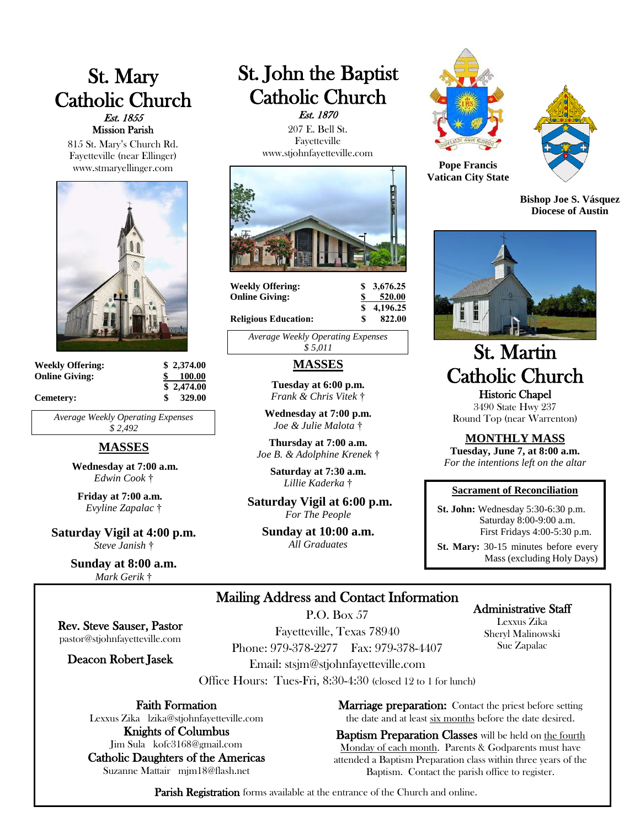# St. Mary Catholic Church Est. 1855 Mission Parish

815 St. Mary's Church Rd. Fayetteville (near Ellinger) www.stmaryellinger.com



| <b>Weekly Offering:</b> | \$2,374.00 |
|-------------------------|------------|
| <b>Online Giving:</b>   | 100.00     |
|                         | \$2,474.00 |
| Cemetery:               | 329.00     |

*Average Weekly Operating Expenses \$ 2,492*

# **MASSES**

**Wednesday at 7:00 a.m.** *Edwin Cook* †

**Friday at 7:00 a.m.** *Evyline Zapalac* †

**Saturday Vigil at 4:00 p.m.** *Steve Janish* †

> **Sunday at 8:00 a.m.** *Mark Gerik* †

Rev. Steve Sauser, Pastor pastor@stjohnfayetteville.com

Deacon Robert Jasek

Faith Formation Lexxus Zika lzika@stjohnfayetteville.com Knights of Columbus Jim Sula kofc3168@gmail.com Catholic Daughters of the Americas Suzanne Mattair mjm18@flash.net

# St. John the Baptist Catholic Church Est. 1870

 207 E. Bell St. Fayetteville www.stjohnfayetteville.com



**Weekly Offering: \$ 3,676.25 Online Giving: \$ 520.00**

 **\$ 4,196.25**

**Religious Education:** \$

*Average Weekly Operating Expenses \$ 5,011*

# **MASSES**

**Tuesday at 6:00 p.m.** *Frank & Chris Vitek* †

**Wednesday at 7:00 p.m.** *Joe & Julie Malota* †

**Thursday at 7:00 a.m.** *Joe B. & Adolphine Krenek* †

> **Saturday at 7:30 a.m.**  *Lillie Kaderka* †

**Saturday Vigil at 6:00 p.m.** *For The People*

**Sunday at 10:00 a.m.** *All Graduates*





**Pope Francis Vatican City State**

**Bishop Joe S. Vásquez Diocese of Austin**



# St. Martin Catholic Church Historic Chapel

3490 State Hwy 237 Round Top (near Warrenton)

## **MONTHLY MASS**

**Tuesday, June 7, at 8:00 a.m.** *For the intentions left on the altar*

#### **Sacrament of Reconciliation**

 **St. John:** Wednesday 5:30-6:30 p.m. Saturday 8:00-9:00 a.m. First Fridays 4:00-5:30 p.m.

 **St. Mary:** 30-15 minutes before every Mass (excluding Holy Days)

> Administrative Staff Lexxus Zika Sheryl Malinowski Sue Zapalac

# Mailing Address and Contact Information

P.O. Box 57

Fayetteville, Texas 78940 Phone: 979-378-2277 Fax: 979-378-4407 Email: stsjm@stjohnfayetteville.com

Office Hours: Tues-Fri, 8:30-4:30 (closed 12 to 1 for lunch)

**Marriage preparation:** Contact the priest before setting the date and at least six months before the date desired.

Baptism Preparation Classes will be held on the fourth Monday of each month. Parents & Godparents must have attended a Baptism Preparation class within three years of the Baptism. Contact the parish office to register.

Parish Registration forms available at the entrance of the Church and online.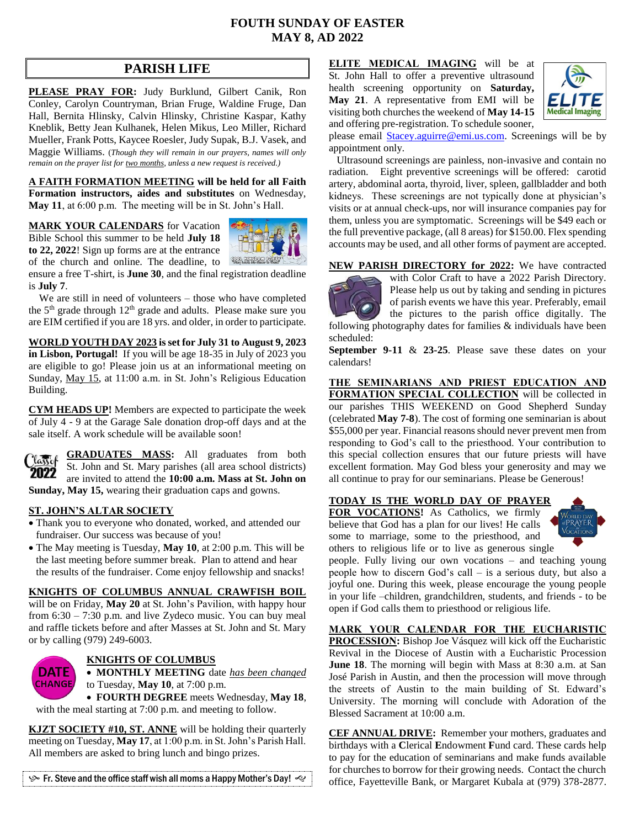# **FOUTH SUNDAY OF EASTER MAY 8, AD 2022**

# **PARISH LIFE**

**PLEASE PRAY FOR:** Judy Burklund, Gilbert Canik, Ron Conley, Carolyn Countryman, Brian Fruge, Waldine Fruge, Dan Hall, Bernita Hlinsky, Calvin Hlinsky, Christine Kaspar, Kathy Kneblik, Betty Jean Kulhanek, Helen Mikus, Leo Miller, Richard Mueller, Frank Potts, Kaycee Roesler, Judy Supak, B.J. Vasek, and Maggie Williams. (*Though they will remain in our prayers, names will only remain on the prayer list for two months, unless a new request is received.)*

**A FAITH FORMATION MEETING will be held for all Faith Formation instructors, aides and substitutes** on Wednesday, **May 11**, at 6:00 p.m. The meeting will be in St. John's Hall.

#### **MARK YOUR CALENDARS** for Vacation

Bible School this summer to be held **July 18 to 22, 2022**! Sign up forms are at the entrance of the church and online. The deadline, to



ensure a free T-shirt, is **June 30**, and the final registration deadline is **July 7**.

 We are still in need of volunteers – those who have completed the 5<sup>th</sup> grade through 12<sup>th</sup> grade and adults. Please make sure you are EIM certified if you are 18 yrs. and older, in order to participate.

**WORLD YOUTH DAY 2023 is set for July 31 to August 9, 2023 in Lisbon, Portugal!** If you will be age 18-35 in July of 2023 you are eligible to go! Please join us at an informational meeting on Sunday, May 15, at 11:00 a.m. in St. John's Religious Education Building.

**CYM HEADS UP!** Members are expected to participate the week of July 4 - 9 at the Garage Sale donation drop-off days and at the sale itself. A work schedule will be available soon!



**GRADUATES MASS:** All graduates from both St. John and St. Mary parishes (all area school districts) are invited to attend the **10:00 a.m. Mass at St. John on Sunday, May 15,** wearing their graduation caps and gowns.

#### **ST. JOHN'S ALTAR SOCIETY**

- Thank you to everyone who donated, worked, and attended our fundraiser. Our success was because of you!
- The May meeting is Tuesday, **May 10**, at 2:00 p.m. This will be the last meeting before summer break. Plan to attend and hear the results of the fundraiser. Come enjoy fellowship and snacks!

#### **KNIGHTS OF COLUMBUS ANNUAL CRAWFISH BOIL**

will be on Friday, May 20 at St. John's Pavilion, with happy hour from  $6:30 - 7:30$  p.m. and live Zydeco music. You can buy meal and raffle tickets before and after Masses at St. John and St. Mary or by calling (979) 249-6003.



#### **KNIGHTS OF COLUMBUS**

 **MONTHLY MEETING** date *has been changed* to Tuesday, **May 10**, at 7:00 p.m.

 **FOURTH DEGREE** meets Wednesday, **May 18**, with the meal starting at 7:00 p.m. and meeting to follow.

**KJZT SOCIETY #10, ST. ANNE** will be holding their quarterly meeting on Tuesday, **May 17**, at 1:00 p.m. in St. John's Parish Hall. All members are asked to bring lunch and bingo prizes.

 $\mathcal{P}$  Fr. Steve and the office staff wish all moms a Happy Mother's Day!  $\ll$ 

**ELITE MEDICAL IMAGING** will be at St. John Hall to offer a preventive ultrasound health screening opportunity on **Saturday, May 21**. A representative from EMI will be visiting both churches the weekend of **May 14-15** and offering pre-registration. To schedule sooner,



please email [Stacey.aguirre@emi.us.com.](mailto:Stacey.aguirre@emi.us.com) Screenings will be by appointment only.

 Ultrasound screenings are painless, non-invasive and contain no radiation. Eight preventive screenings will be offered: carotid artery, abdominal aorta, thyroid, liver, spleen, gallbladder and both kidneys. These screenings are not typically done at physician's visits or at annual check-ups, nor will insurance companies pay for them, unless you are symptomatic. Screenings will be \$49 each or the full preventive package, (all 8 areas) for \$150.00. Flex spending accounts may be used, and all other forms of payment are accepted.

#### **NEW PARISH DIRECTORY for 2022:** We have contracted



with Color Craft to have a 2022 Parish Directory. Please help us out by taking and sending in pictures of parish events we have this year. Preferably, email the pictures to the parish office digitally. The

following photography dates for families & individuals have been scheduled:

**September 9-11** & **23-25**. Please save these dates on your calendars!

**THE SEMINARIANS AND PRIEST EDUCATION AND FORMATION SPECIAL COLLECTION** will be collected in our parishes THIS WEEKEND on Good Shepherd Sunday (celebrated **May 7-8**). The cost of forming one seminarian is about \$55,000 per year. Financial reasons should never prevent men from responding to God's call to the priesthood. Your contribution to this special collection ensures that our future priests will have excellent formation. May God bless your generosity and may we all continue to pray for our seminarians. Please be Generous!

## **TODAY IS THE WORLD DAY OF PRAYER**

**FOR VOCATIONS!** As Catholics, we firmly believe that God has a plan for our lives! He calls some to marriage, some to the priesthood, and others to religious life or to live as generous single



people. Fully living our own vocations – and teaching young people how to discern God's call – is a serious duty, but also a joyful one. During this week, please encourage the young people in your life –children, grandchildren, students, and friends - to be open if God calls them to priesthood or religious life.

**MARK YOUR CALENDAR FOR THE EUCHARISTIC PROCESSION:** Bishop Joe Vásquez will kick off the Eucharistic Revival in the Diocese of Austin with a Eucharistic Procession **June 18**. The morning will begin with Mass at 8:30 a.m. at San

José Parish in Austin, and then the procession will move through the streets of Austin to the main building of St. Edward's University. The morning will conclude with Adoration of the Blessed Sacrament at 10:00 a.m.

**CEF ANNUAL DRIVE:** Remember your mothers, graduates and birthdays with a **C**lerical **E**ndowment **F**und card. These cards help to pay for the education of seminarians and make funds available for churches to borrow for their growing needs. Contact the church office, Fayetteville Bank, or Margaret Kubala at (979) 378-2877.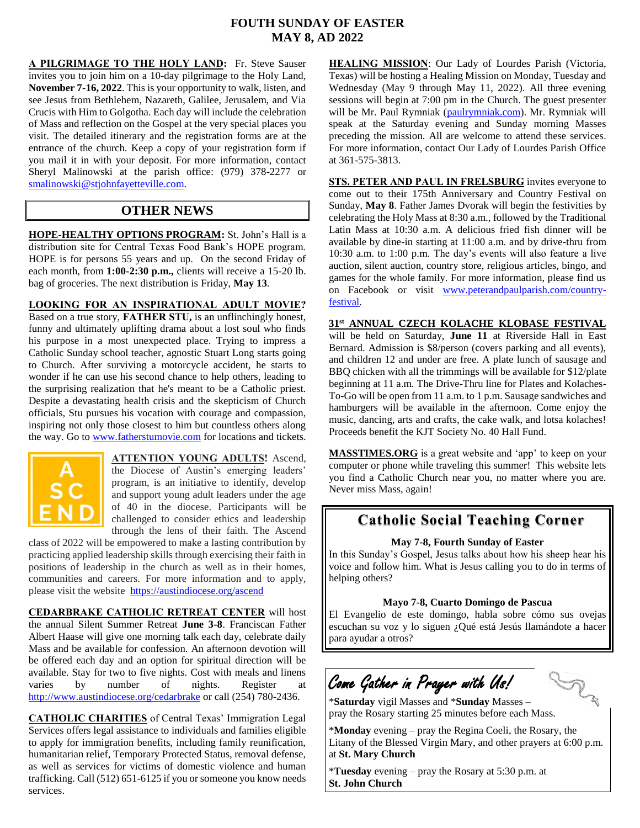# **FOUTH SUNDAY OF EASTER MAY 8, AD 2022**

**A PILGRIMAGE TO THE HOLY LAND:** Fr. Steve Sauser invites you to join him on a 10-day pilgrimage to the Holy Land, **November 7-16, 2022**. This is your opportunity to walk, listen, and see Jesus from Bethlehem, Nazareth, Galilee, Jerusalem, and Via Crucis with Him to Golgotha. Each day will include the celebration of Mass and reflection on the Gospel at the very special places you visit. The detailed itinerary and the registration forms are at the entrance of the church. Keep a copy of your registration form if you mail it in with your deposit. For more information, contact Sheryl Malinowski at the parish office: (979) 378-2277 or [smalinowski@stjohnfayetteville.com.](mailto:smalinowski@stjohnfayetteville.com) 

## **OTHER NEWS**

**HOPE-HEALTHY OPTIONS PROGRAM:** St. John's Hall is a distribution site for Central Texas Food Bank's HOPE program. HOPE is for persons 55 years and up. On the second Friday of each month, from **1:00-2:30 p.m.,** clients will receive a 15-20 lb. bag of groceries. The next distribution is Friday, **May 13**.

## **LOOKING FOR AN INSPIRATIONAL ADULT MOVIE?**

Based on a true story, **FATHER STU,** is an unflinchingly honest, funny and ultimately uplifting drama about a lost soul who finds his purpose in a most unexpected place. Trying to impress a Catholic Sunday school teacher, agnostic Stuart Long starts going to Church. After surviving a motorcycle accident, he starts to wonder if he can use his second chance to help others, leading to the surprising realization that he's meant to be a Catholic priest. Despite a devastating health crisis and the skepticism of Church officials, Stu pursues his vocation with courage and compassion, inspiring not only those closest to him but countless others along the way. Go t[o www.fatherstumovie.com](http://www.fatherstumovie.com/) for locations and tickets.



**ATTENTION YOUNG ADULTS!** Ascend, the Diocese of Austin's emerging leaders' program, is an initiative to identify, develop and support young adult leaders under the age of 40 in the diocese. Participants will be challenged to consider ethics and leadership through the lens of their faith. The Ascend

class of 2022 will be empowered to make a lasting contribution by practicing applied leadership skills through exercising their faith in positions of leadership in the church as well as in their homes, communities and careers. For more information and to apply, please visit the website <https://austindiocese.org/ascend>

**CEDARBRAKE CATHOLIC RETREAT CENTER** will host the annual Silent Summer Retreat **June 3-8**. Franciscan Father Albert Haase will give one morning talk each day, celebrate daily Mass and be available for confession. An afternoon devotion will be offered each day and an option for spiritual direction will be available. Stay for two to five nights. Cost with meals and linens varies by number of nights. Register at <http://www.austindiocese.org/cedarbrake> or call (254) 780-2436.

**CATHOLIC CHARITIES** of Central Texas' Immigration Legal Services offers legal assistance to individuals and families eligible to apply for immigration benefits, including family reunification, humanitarian relief, Temporary Protected Status, removal defense, as well as services for victims of domestic violence and human trafficking. Call (512) 651-6125 if you or someone you know needs services.

**HEALING MISSION**: Our Lady of Lourdes Parish (Victoria, Texas) will be hosting a Healing Mission on Monday, Tuesday and Wednesday (May 9 through May 11, 2022). All three evening sessions will begin at 7:00 pm in the Church. The guest presenter will be Mr. Paul Rymniak [\(paulrymniak.com\)](http://www.paulrymniak.com/). Mr. Rymniak will speak at the Saturday evening and Sunday morning Masses preceding the mission. All are welcome to attend these services. For more information, contact Our Lady of Lourdes Parish Office at 361-575-3813.

**STS. PETER AND PAUL IN FRELSBURG** invites everyone to come out to their 175th Anniversary and Country Festival on Sunday, **May 8**. Father James Dvorak will begin the festivities by celebrating the Holy Mass at 8:30 a.m., followed by the Traditional Latin Mass at 10:30 a.m. A delicious fried fish dinner will be available by dine-in starting at 11:00 a.m. and by drive-thru from 10:30 a.m. to 1:00 p.m. The day's events will also feature a live auction, silent auction, country store, religious articles, bingo, and games for the whole family. For more information, please find us on Facebook or visit [www.peterandpaulparish.com/country](http://www.peterandpaulparish.com/country-festival)[festival.](http://www.peterandpaulparish.com/country-festival)

**31st ANNUAL CZECH KOLACHE KLOBASE FESTIVAL** will be held on Saturday, **June 11** at Riverside Hall in East Bernard. Admission is \$8/person (covers parking and all events), and children 12 and under are free. A plate lunch of sausage and BBQ chicken with all the trimmings will be available for \$12/plate beginning at 11 a.m. The Drive-Thru line for Plates and Kolaches-To-Go will be open from 11 a.m. to 1 p.m. Sausage sandwiches and hamburgers will be available in the afternoon. Come enjoy the music, dancing, arts and crafts, the cake walk, and lotsa kolaches! Proceeds benefit the KJT Society No. 40 Hall Fund.

**MASSTIMES.ORG** is a great website and 'app' to keep on your computer or phone while traveling this summer! This website lets you find a Catholic Church near you, no matter where you are. Never miss Mass, again!

# **Catholic Social Teaching Corner**

**May 7-8, Fourth Sunday of Easter**

In this Sunday's Gospel, Jesus talks about how his sheep hear his voice and follow him. What is Jesus calling you to do in terms of helping others?

#### **Mayo 7-8, Cuarto Domingo de Pascua**

El Evangelio de este domingo, habla sobre cómo sus ovejas escuchan su voz y lo siguen ¿Qué está Jesús llamándote a hacer para ayudar a otros?

Come Gather in Prayer with Us!

LA

\***Saturday** vigil Masses and \***Sunday** Masses – pray the Rosary starting 25 minutes before each Mass.

\***Monday** evening – pray the Regina Coeli, the Rosary, the Litany of the Blessed Virgin Mary, and other prayers at 6:00 p.m. at **St. Mary Church**

\***Tuesday** evening – pray the Rosary at 5:30 p.m. at **St. John Church**